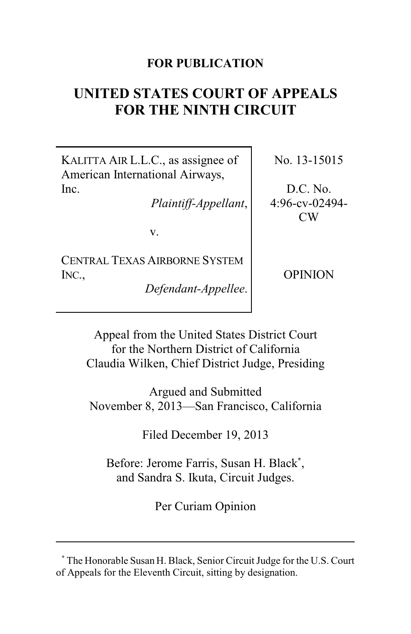# **FOR PUBLICATION**

# **UNITED STATES COURT OF APPEALS FOR THE NINTH CIRCUIT**

KALITTA AIR L.L.C., as assignee of American International Airways, Inc.

*Plaintiff-Appellant*,

v.

CENTRAL TEXAS AIRBORNE SYSTEM INC.,

*Defendant-Appellee*.

No. 13-15015

D.C. No. 4:96-cv-02494- CW

OPINION

Appeal from the United States District Court for the Northern District of California Claudia Wilken, Chief District Judge, Presiding

Argued and Submitted November 8, 2013—San Francisco, California

Filed December 19, 2013

Before: Jerome Farris, Susan H. Black**\*** , and Sandra S. Ikuta, Circuit Judges.

Per Curiam Opinion

**<sup>\*</sup>** The Honorable Susan H. Black, Senior Circuit Judge for the U.S. Court of Appeals for the Eleventh Circuit, sitting by designation.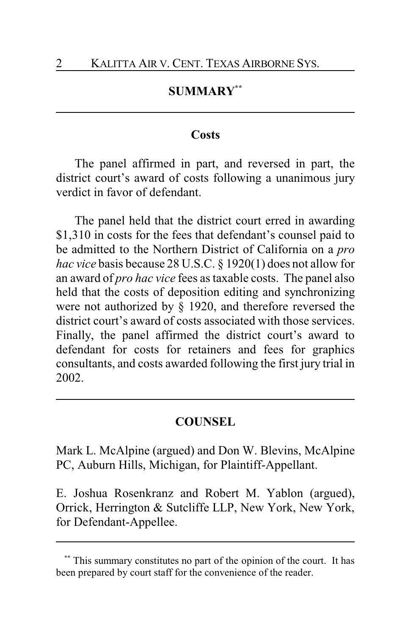# **SUMMARY\*\***

### **Costs**

The panel affirmed in part, and reversed in part, the district court's award of costs following a unanimous jury verdict in favor of defendant.

The panel held that the district court erred in awarding \$1,310 in costs for the fees that defendant's counsel paid to be admitted to the Northern District of California on a *pro hac vice* basis because 28 U.S.C. § 1920(1) does not allow for an award of *pro hac vice* fees as taxable costs. The panel also held that the costs of deposition editing and synchronizing were not authorized by § 1920, and therefore reversed the district court's award of costs associated with those services. Finally, the panel affirmed the district court's award to defendant for costs for retainers and fees for graphics consultants, and costs awarded following the first jury trial in 2002.

# **COUNSEL**

Mark L. McAlpine (argued) and Don W. Blevins, McAlpine PC, Auburn Hills, Michigan, for Plaintiff-Appellant.

E. Joshua Rosenkranz and Robert M. Yablon (argued), Orrick, Herrington & Sutcliffe LLP, New York, New York, for Defendant-Appellee.

This summary constitutes no part of the opinion of the court. It has been prepared by court staff for the convenience of the reader.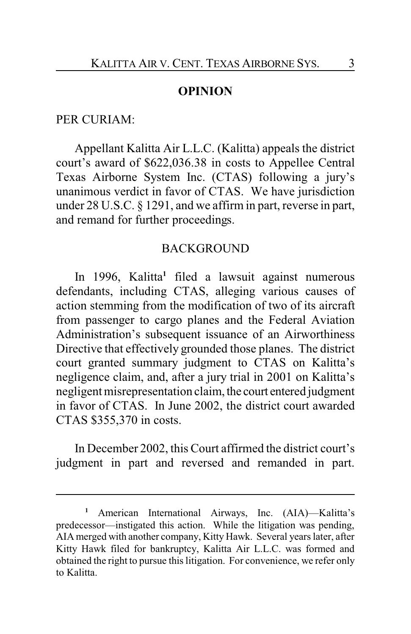### **OPINION**

#### PER CURIAM:

Appellant Kalitta Air L.L.C. (Kalitta) appeals the district court's award of \$622,036.38 in costs to Appellee Central Texas Airborne System Inc. (CTAS) following a jury's unanimous verdict in favor of CTAS. We have jurisdiction under 28 U.S.C. § 1291, and we affirm in part, reverse in part, and remand for further proceedings.

#### BACKGROUND

In 1996, Kalitta**<sup>1</sup>** filed a lawsuit against numerous defendants, including CTAS, alleging various causes of action stemming from the modification of two of its aircraft from passenger to cargo planes and the Federal Aviation Administration's subsequent issuance of an Airworthiness Directive that effectively grounded those planes. The district court granted summary judgment to CTAS on Kalitta's negligence claim, and, after a jury trial in 2001 on Kalitta's negligent misrepresentation claim, the court entered judgment in favor of CTAS. In June 2002, the district court awarded CTAS \$355,370 in costs.

In December 2002, this Court affirmed the district court's judgment in part and reversed and remanded in part.

**<sup>1</sup>** American International Airways, Inc. (AIA)—Kalitta's predecessor—instigated this action. While the litigation was pending, AIA merged with another company, Kitty Hawk. Several years later, after Kitty Hawk filed for bankruptcy, Kalitta Air L.L.C. was formed and obtained the right to pursue this litigation. For convenience, we refer only to Kalitta.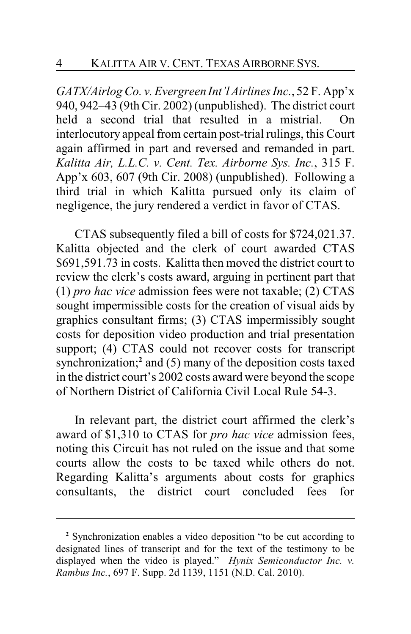*GATX/Airlog Co. v. Evergreen Int'l Airlines Inc.*, 52 F. App'x 940, 942–43 (9th Cir. 2002) (unpublished). The district court held a second trial that resulted in a mistrial. On interlocutory appeal from certain post-trial rulings, this Court again affirmed in part and reversed and remanded in part. *Kalitta Air, L.L.C. v. Cent. Tex. Airborne Sys. Inc.*, 315 F. App'x 603, 607 (9th Cir. 2008) (unpublished). Following a third trial in which Kalitta pursued only its claim of negligence, the jury rendered a verdict in favor of CTAS.

CTAS subsequently filed a bill of costs for \$724,021.37. Kalitta objected and the clerk of court awarded CTAS \$691,591.73 in costs. Kalitta then moved the district court to review the clerk's costs award, arguing in pertinent part that (1) *pro hac vice* admission fees were not taxable; (2) CTAS sought impermissible costs for the creation of visual aids by graphics consultant firms; (3) CTAS impermissibly sought costs for deposition video production and trial presentation support; (4) CTAS could not recover costs for transcript synchronization;**<sup>2</sup>** and (5) many of the deposition costs taxed in the district court's 2002 costs award were beyond the scope of Northern District of California Civil Local Rule 54-3.

In relevant part, the district court affirmed the clerk's award of \$1,310 to CTAS for *pro hac vice* admission fees, noting this Circuit has not ruled on the issue and that some courts allow the costs to be taxed while others do not. Regarding Kalitta's arguments about costs for graphics consultants, the district court concluded fees for

**<sup>2</sup>** Synchronization enables a video deposition "to be cut according to designated lines of transcript and for the text of the testimony to be displayed when the video is played." *Hynix Semiconductor Inc. v. Rambus Inc.*, 697 F. Supp. 2d 1139, 1151 (N.D. Cal. 2010).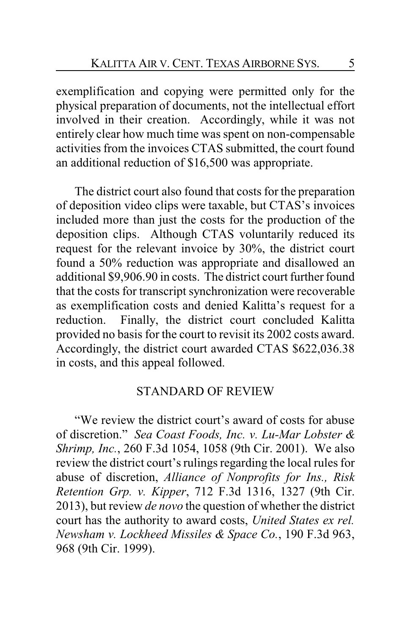exemplification and copying were permitted only for the physical preparation of documents, not the intellectual effort involved in their creation. Accordingly, while it was not entirely clear how much time was spent on non-compensable activities from the invoices CTAS submitted, the court found an additional reduction of \$16,500 was appropriate.

The district court also found that costs for the preparation of deposition video clips were taxable, but CTAS's invoices included more than just the costs for the production of the deposition clips. Although CTAS voluntarily reduced its request for the relevant invoice by 30%, the district court found a 50% reduction was appropriate and disallowed an additional \$9,906.90 in costs. The district court further found that the costs for transcript synchronization were recoverable as exemplification costs and denied Kalitta's request for a reduction. Finally, the district court concluded Kalitta provided no basis for the court to revisit its 2002 costs award. Accordingly, the district court awarded CTAS \$622,036.38 in costs, and this appeal followed.

### STANDARD OF REVIEW

"We review the district court's award of costs for abuse of discretion." *Sea Coast Foods, Inc. v. Lu-Mar Lobster & Shrimp, Inc.*, 260 F.3d 1054, 1058 (9th Cir. 2001). We also review the district court's rulings regarding the local rules for abuse of discretion, *Alliance of Nonprofits for Ins., Risk Retention Grp. v. Kipper*, 712 F.3d 1316, 1327 (9th Cir. 2013), but review *de novo* the question of whether the district court has the authority to award costs, *United States ex rel. Newsham v. Lockheed Missiles & Space Co.*, 190 F.3d 963, 968 (9th Cir. 1999).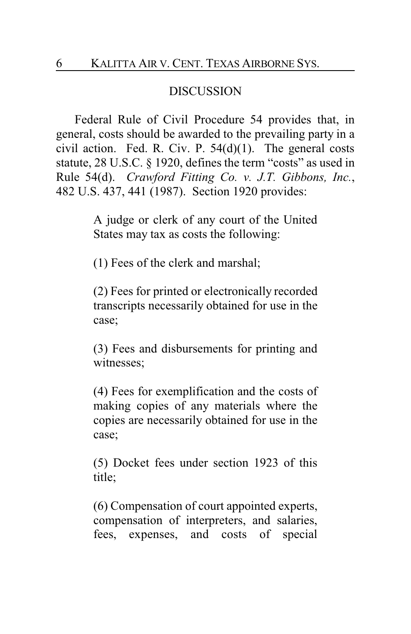## DISCUSSION

Federal Rule of Civil Procedure 54 provides that, in general, costs should be awarded to the prevailing party in a civil action. Fed. R. Civ. P.  $54(d)(1)$ . The general costs statute, 28 U.S.C. § 1920, defines the term "costs" as used in Rule 54(d). *Crawford Fitting Co. v. J.T. Gibbons, Inc.*, 482 U.S. 437, 441 (1987). Section 1920 provides:

> A judge or clerk of any court of the United States may tax as costs the following:

(1) Fees of the clerk and marshal;

(2) Fees for printed or electronically recorded transcripts necessarily obtained for use in the case;

(3) Fees and disbursements for printing and witnesses;

(4) Fees for exemplification and the costs of making copies of any materials where the copies are necessarily obtained for use in the case;

(5) Docket fees under section 1923 of this title;

(6) Compensation of court appointed experts, compensation of interpreters, and salaries, fees, expenses, and costs of special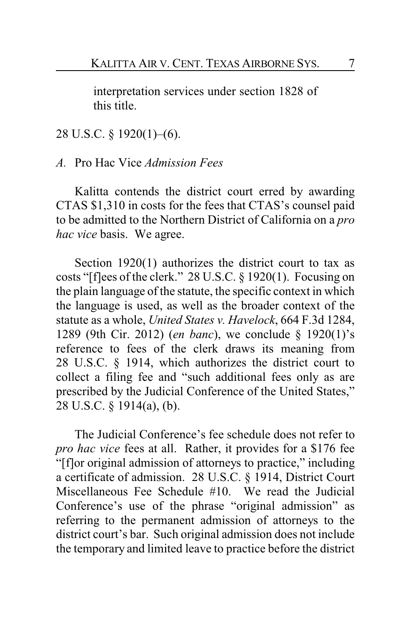interpretation services under section 1828 of this title.

28 U.S.C. § 1920(1)–(6).

*A.* Pro Hac Vice *Admission Fees*

Kalitta contends the district court erred by awarding CTAS \$1,310 in costs for the fees that CTAS's counsel paid to be admitted to the Northern District of California on a *pro hac vice* basis. We agree.

Section 1920(1) authorizes the district court to tax as costs "[f]ees of the clerk." 28 U.S.C. § 1920(1). Focusing on the plain language of the statute, the specific context in which the language is used, as well as the broader context of the statute as a whole, *United States v. Havelock*, 664 F.3d 1284, 1289 (9th Cir. 2012) (*en banc*), we conclude § 1920(1)'s reference to fees of the clerk draws its meaning from 28 U.S.C. § 1914, which authorizes the district court to collect a filing fee and "such additional fees only as are prescribed by the Judicial Conference of the United States," 28 U.S.C. § 1914(a), (b).

The Judicial Conference's fee schedule does not refer to *pro hac vice* fees at all. Rather, it provides for a \$176 fee "[f]or original admission of attorneys to practice," including a certificate of admission. 28 U.S.C. § 1914, District Court Miscellaneous Fee Schedule #10. We read the Judicial Conference's use of the phrase "original admission" as referring to the permanent admission of attorneys to the district court's bar. Such original admission does not include the temporary and limited leave to practice before the district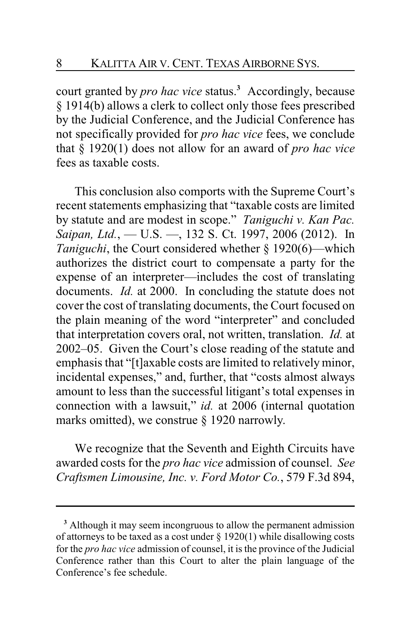court granted by *pro hac vice* status.**<sup>3</sup>** Accordingly, because § 1914(b) allows a clerk to collect only those fees prescribed by the Judicial Conference, and the Judicial Conference has not specifically provided for *pro hac vice* fees, we conclude that § 1920(1) does not allow for an award of *pro hac vice* fees as taxable costs.

This conclusion also comports with the Supreme Court's recent statements emphasizing that "taxable costs are limited by statute and are modest in scope." *Taniguchi v. Kan Pac. Saipan, Ltd.*, — U.S. —, 132 S. Ct. 1997, 2006 (2012). In *Taniguchi*, the Court considered whether § 1920(6)—which authorizes the district court to compensate a party for the expense of an interpreter—includes the cost of translating documents. *Id.* at 2000. In concluding the statute does not cover the cost of translating documents, the Court focused on the plain meaning of the word "interpreter" and concluded that interpretation covers oral, not written, translation. *Id.* at 2002–05. Given the Court's close reading of the statute and emphasis that "[t]axable costs are limited to relatively minor, incidental expenses," and, further, that "costs almost always amount to less than the successful litigant's total expenses in connection with a lawsuit," *id.* at 2006 (internal quotation marks omitted), we construe § 1920 narrowly.

We recognize that the Seventh and Eighth Circuits have awarded costs for the *pro hac vice* admission of counsel. *See Craftsmen Limousine, Inc. v. Ford Motor Co.*, 579 F.3d 894,

**<sup>3</sup>** Although it may seem incongruous to allow the permanent admission of attorneys to be taxed as a cost under  $\S 1920(1)$  while disallowing costs for the *pro hac vice* admission of counsel, it is the province of the Judicial Conference rather than this Court to alter the plain language of the Conference's fee schedule.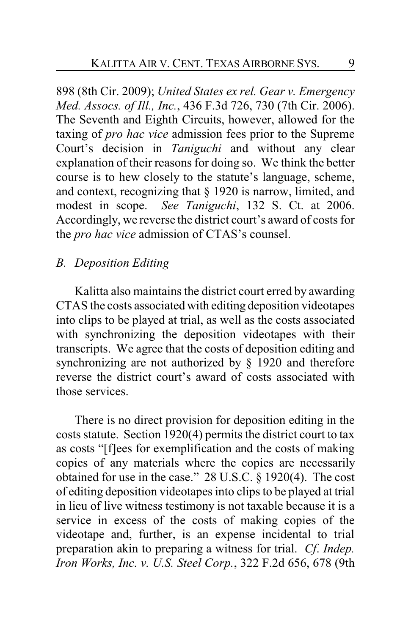898 (8th Cir. 2009); *United States ex rel. Gear v. Emergency Med. Assocs. of Ill., Inc.*, 436 F.3d 726, 730 (7th Cir. 2006). The Seventh and Eighth Circuits, however, allowed for the taxing of *pro hac vice* admission fees prior to the Supreme Court's decision in *Taniguchi* and without any clear explanation of their reasons for doing so. We think the better course is to hew closely to the statute's language, scheme, and context, recognizing that § 1920 is narrow, limited, and modest in scope. *See Taniguchi*, 132 S. Ct. at 2006. Accordingly, we reverse the district court's award of costs for the *pro hac vice* admission of CTAS's counsel.

## *B. Deposition Editing*

Kalitta also maintains the district court erred by awarding CTAS the costs associated with editing deposition videotapes into clips to be played at trial, as well as the costs associated with synchronizing the deposition videotapes with their transcripts. We agree that the costs of deposition editing and synchronizing are not authorized by § 1920 and therefore reverse the district court's award of costs associated with those services.

There is no direct provision for deposition editing in the costs statute. Section 1920(4) permits the district court to tax as costs "[f]ees for exemplification and the costs of making copies of any materials where the copies are necessarily obtained for use in the case." 28 U.S.C. § 1920(4). The cost of editing deposition videotapes into clips to be played at trial in lieu of live witness testimony is not taxable because it is a service in excess of the costs of making copies of the videotape and, further, is an expense incidental to trial preparation akin to preparing a witness for trial. *Cf*. *Indep. Iron Works, Inc. v. U.S. Steel Corp.*, 322 F.2d 656, 678 (9th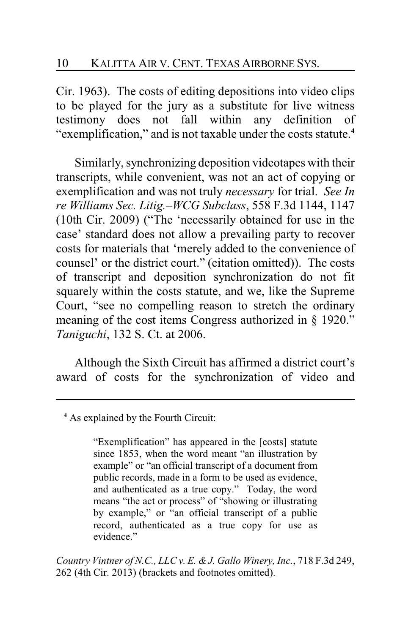Cir. 1963). The costs of editing depositions into video clips to be played for the jury as a substitute for live witness testimony does not fall within any definition of "exemplification," and is not taxable under the costs statute.**<sup>4</sup>**

Similarly, synchronizing deposition videotapes with their transcripts, while convenient, was not an act of copying or exemplification and was not truly *necessary* for trial. *See In re Williams Sec. Litig.–WCG Subclass*, 558 F.3d 1144, 1147 (10th Cir. 2009) ("The 'necessarily obtained for use in the case' standard does not allow a prevailing party to recover costs for materials that 'merely added to the convenience of counsel' or the district court." (citation omitted)). The costs of transcript and deposition synchronization do not fit squarely within the costs statute, and we, like the Supreme Court, "see no compelling reason to stretch the ordinary meaning of the cost items Congress authorized in § 1920." *Taniguchi*, 132 S. Ct. at 2006.

Although the Sixth Circuit has affirmed a district court's award of costs for the synchronization of video and

"Exemplification" has appeared in the [costs] statute since 1853, when the word meant "an illustration by example" or "an official transcript of a document from public records, made in a form to be used as evidence, and authenticated as a true copy." Today, the word means "the act or process" of "showing or illustrating by example," or "an official transcript of a public record, authenticated as a true copy for use as evidence."

*Country Vintner of N.C., LLC v. E. &J. Gallo Winery, Inc.*, 718 F.3d 249, 262 (4th Cir. 2013) (brackets and footnotes omitted).

**<sup>4</sup>** As explained by the Fourth Circuit: